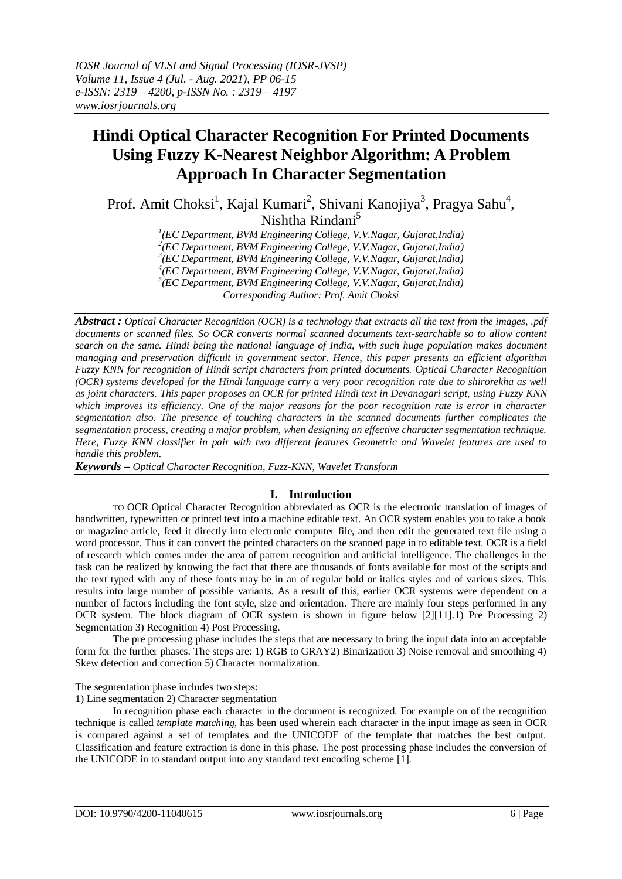# **Hindi Optical Character Recognition For Printed Documents Using Fuzzy K-Nearest Neighbor Algorithm: A Problem Approach In Character Segmentation**

Prof. Amit Choksi<sup>1</sup>, Kajal Kumari<sup>2</sup>, Shivani Kanojiya<sup>3</sup>, Pragya Sahu<sup>4</sup>, Nishtha Rindani<sup>5</sup>

*1 (EC Department, BVM Engineering College, V.V.Nagar, Gujarat,India)*

*2 (EC Department, BVM Engineering College, V.V.Nagar, Gujarat,India)*

*3 (EC Department, BVM Engineering College, V.V.Nagar, Gujarat,India) 4 (EC Department, BVM Engineering College, V.V.Nagar, Gujarat,India)*

*5 (EC Department, BVM Engineering College, V.V.Nagar, Gujarat,India)*

*Corresponding Author: Prof. Amit Choksi*

*Abstract : [Optical Character Recognition \(OCR\)](https://www.ricohdocs.com/ocr-software.php) is a technology that extracts all the text from the images, .pdf documents or scanned files. So OCR converts normal scanned documents text-searchable so to allow content search on the same. Hindi being the national language of India, with such huge population makes document managing and preservation difficult in government sector. Hence, this paper presents an efficient algorithm Fuzzy KNN for recognition of Hindi script characters from printed documents. Optical Character Recognition (OCR) systems developed for the Hindi language carry a very poor recognition rate due to shirorekha as well as joint characters. This paper proposes an OCR for printed Hindi text in Devanagari script, using Fuzzy KNN which improves its efficiency. One of the major reasons for the poor recognition rate is error in character segmentation also. The presence of touching characters in the scanned documents further complicates the segmentation process, creating a major problem, when designing an effective character segmentation technique. Here, Fuzzy KNN classifier in pair with two different features Geometric and Wavelet features are used to handle this problem.* 

*Keywords – Optical Character Recognition, Fuzz-KNN, Wavelet Transform*

# **I. Introduction**

TO OCR Optical Character Recognition abbreviated as OCR is the electronic translation of images of handwritten, typewritten or printed text into a machine editable text. An OCR system enables you to take a book or magazine article, feed it directly into electronic computer file, and then edit the generated text file using a word processor. Thus it can convert the printed characters on the scanned page in to editable text. OCR is a field of research which comes under the area of pattern recognition and artificial intelligence. The challenges in the task can be realized by knowing the fact that there are thousands of fonts available for most of the scripts and the text typed with any of these fonts may be in an of regular bold or italics styles and of various sizes. This results into large number of possible variants. As a result of this, earlier OCR systems were dependent on a number of factors including the font style, size and orientation. There are mainly four steps performed in any OCR system. The block diagram of OCR system is shown in figure below [2][11].1) Pre Processing 2) Segmentation 3) Recognition 4) Post Processing.

The pre processing phase includes the steps that are necessary to bring the input data into an acceptable form for the further phases. The steps are: 1) RGB to GRAY2) Binarization 3) Noise removal and smoothing 4) Skew detection and correction 5) Character normalization.

The segmentation phase includes two steps:

1) Line segmentation 2) Character segmentation

In recognition phase each character in the document is recognized. For example on of the recognition technique is called *template matching*, has been used wherein each character in the input image as seen in OCR is compared against a set of templates and the UNICODE of the template that matches the best output. Classification and feature extraction is done in this phase. The post processing phase includes the conversion of the UNICODE in to standard output into any standard text encoding scheme [1].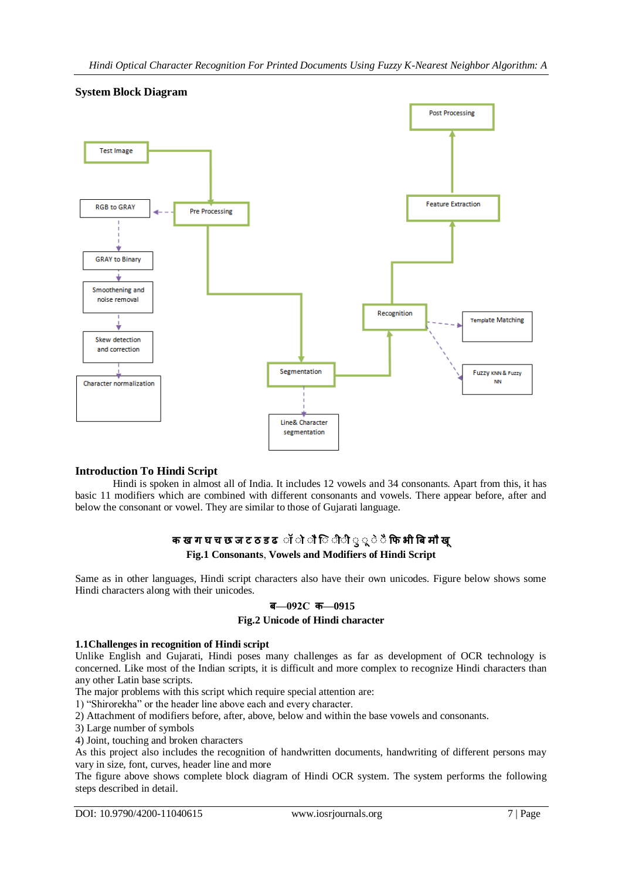

# **System Block Diagram**

# **Introduction To Hindi Script**

Hindi is spoken in almost all of India. It includes 12 vowels and 34 consonants. Apart from this, it has basic 11 modifiers which are combined with different consonants and vowels. There appear before, after and below the consonant or vowel. They are similar to those of Gujarati language.

# **क ख ग घ च छ ज ट ठ ड ढ ॉ ॉ ॉ िॉ ॉ ॉ ॉ ॉ ॉ ॉ फि भ बि म ख Fig.1 Consonants**, **Vowels and Modifiers of Hindi Script**

Same as in other languages, Hindi script characters also have their own unicodes. Figure below shows some Hindi characters along with their unicodes.

# **ि—092C क—0915**

# **Fig.2 Unicode of Hindi character**

# **1.1Challenges in recognition of Hindi script**

Unlike English and Gujarati, Hindi poses many challenges as far as development of OCR technology is concerned. Like most of the Indian scripts, it is difficult and more complex to recognize Hindi characters than any other Latin base scripts.

The major problems with this script which require special attention are:

1) "Shirorekha" or the header line above each and every character.

2) Attachment of modifiers before, after, above, below and within the base vowels and consonants.

3) Large number of symbols

4) Joint, touching and broken characters

As this project also includes the recognition of handwritten documents, handwriting of different persons may vary in size, font, curves, header line and more

The figure above shows complete block diagram of Hindi OCR system. The system performs the following steps described in detail.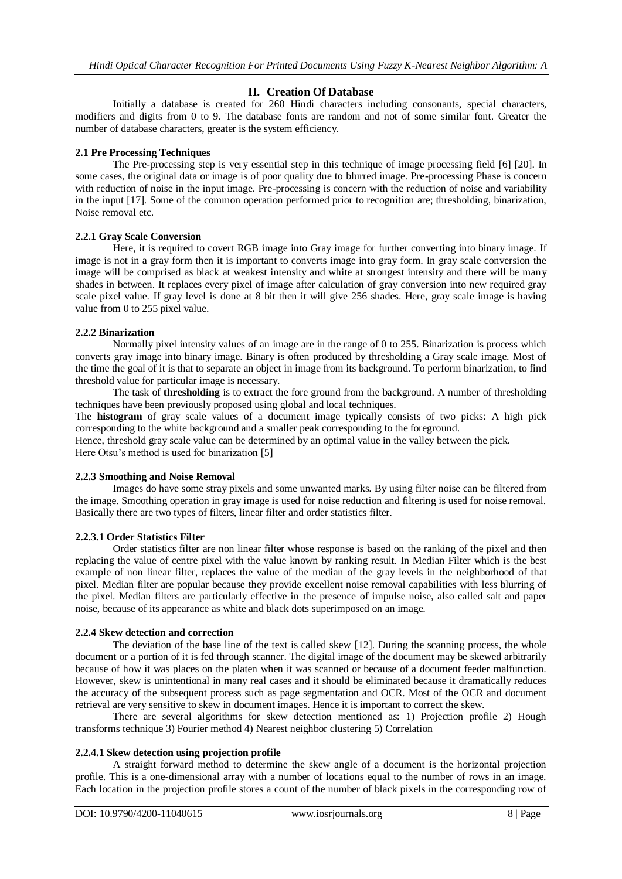# **II. Creation Of Database**

Initially a database is created for 260 Hindi characters including consonants, special characters, modifiers and digits from 0 to 9. The database fonts are random and not of some similar font. Greater the number of database characters, greater is the system efficiency.

# **2.1 Pre Processing Techniques**

The Pre-processing step is very essential step in this technique of image processing field [6] [20]. In some cases, the original data or image is of poor quality due to blurred image. Pre-processing Phase is concern with reduction of noise in the input image. Pre-processing is concern with the reduction of noise and variability in the input [17]. Some of the common operation performed prior to recognition are; thresholding, binarization, Noise removal etc.

# **2.2.1 Gray Scale Conversion**

Here, it is required to covert RGB image into Gray image for further converting into binary image. If image is not in a gray form then it is important to converts image into gray form. In gray scale conversion the image will be comprised as black at weakest intensity and white at strongest intensity and there will be many shades in between. It replaces every pixel of image after calculation of gray conversion into new required gray scale pixel value. If gray level is done at 8 bit then it will give 256 shades. Here, gray scale image is having value from 0 to 255 pixel value.

# **2.2.2 Binarization**

Normally pixel intensity values of an image are in the range of 0 to 255. Binarization is process which converts gray image into binary image. Binary is often produced by thresholding a Gray scale image. Most of the time the goal of it is that to separate an object in image from its background. To perform binarization, to find threshold value for particular image is necessary.

The task of **thresholding** is to extract the fore ground from the background. A number of thresholding techniques have been previously proposed using global and local techniques.

The **histogram** of gray scale values of a document image typically consists of two picks: A high pick corresponding to the white background and a smaller peak corresponding to the foreground.

Hence, threshold gray scale value can be determined by an optimal value in the valley between the pick. Here Otsu's method is used for binarization [5]

# **2.2.3 Smoothing and Noise Removal**

Images do have some stray pixels and some unwanted marks. By using filter noise can be filtered from the image. Smoothing operation in gray image is used for noise reduction and filtering is used for noise removal. Basically there are two types of filters, linear filter and order statistics filter.

# **2.2.3.1 Order Statistics Filter**

Order statistics filter are non linear filter whose response is based on the ranking of the pixel and then replacing the value of centre pixel with the value known by ranking result. In Median Filter which is the best example of non linear filter, replaces the value of the median of the gray levels in the neighborhood of that pixel. Median filter are popular because they provide excellent noise removal capabilities with less blurring of the pixel. Median filters are particularly effective in the presence of impulse noise, also called salt and paper noise, because of its appearance as white and black dots superimposed on an image.

# **2.2.4 Skew detection and correction**

The deviation of the base line of the text is called skew [12]. During the scanning process, the whole document or a portion of it is fed through scanner. The digital image of the document may be skewed arbitrarily because of how it was places on the platen when it was scanned or because of a document feeder malfunction. However, skew is unintentional in many real cases and it should be eliminated because it dramatically reduces the accuracy of the subsequent process such as page segmentation and OCR. Most of the OCR and document retrieval are very sensitive to skew in document images. Hence it is important to correct the skew.

There are several algorithms for skew detection mentioned as: 1) Projection profile 2) Hough transforms technique 3) Fourier method 4) Nearest neighbor clustering 5) Correlation

# **2.2.4.1 Skew detection using projection profile**

A straight forward method to determine the skew angle of a document is the horizontal projection profile. This is a one-dimensional array with a number of locations equal to the number of rows in an image. Each location in the projection profile stores a count of the number of black pixels in the corresponding row of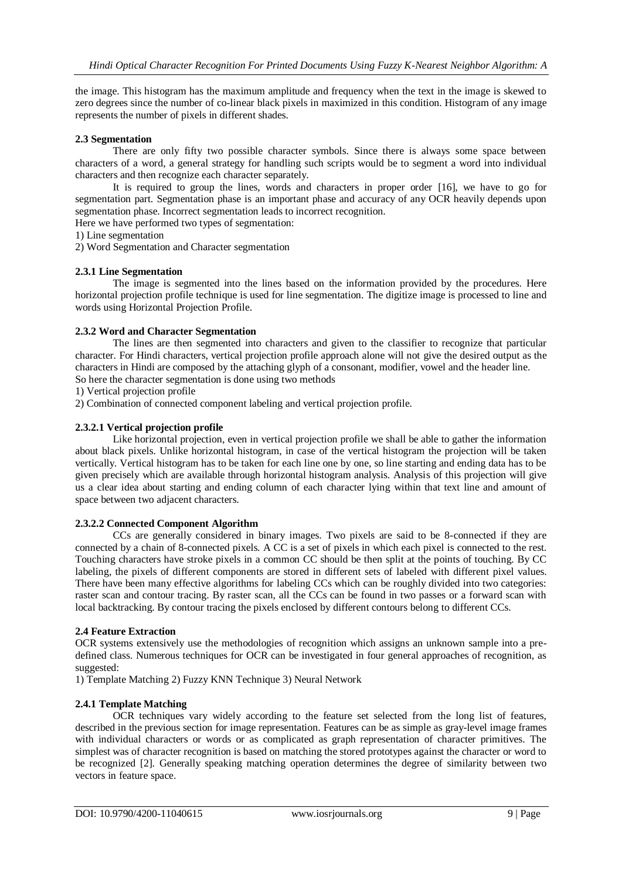the image. This histogram has the maximum amplitude and frequency when the text in the image is skewed to zero degrees since the number of co-linear black pixels in maximized in this condition. Histogram of any image represents the number of pixels in different shades.

# **2.3 Segmentation**

There are only fifty two possible character symbols. Since there is always some space between characters of a word, a general strategy for handling such scripts would be to segment a word into individual characters and then recognize each character separately.

It is required to group the lines, words and characters in proper order [16], we have to go for segmentation part. Segmentation phase is an important phase and accuracy of any OCR heavily depends upon segmentation phase. Incorrect segmentation leads to incorrect recognition.

Here we have performed two types of segmentation:

1) Line segmentation

2) Word Segmentation and Character segmentation

# **2.3.1 Line Segmentation**

The image is segmented into the lines based on the information provided by the procedures. Here horizontal projection profile technique is used for line segmentation. The digitize image is processed to line and words using Horizontal Projection Profile.

# **2.3.2 Word and Character Segmentation**

The lines are then segmented into characters and given to the classifier to recognize that particular character. For Hindi characters, vertical projection profile approach alone will not give the desired output as the characters in Hindi are composed by the attaching glyph of a consonant, modifier, vowel and the header line. So here the character segmentation is done using two methods

1) Vertical projection profile

2) Combination of connected component labeling and vertical projection profile.

# **2.3.2.1 Vertical projection profile**

Like horizontal projection, even in vertical projection profile we shall be able to gather the information about black pixels. Unlike horizontal histogram, in case of the vertical histogram the projection will be taken vertically. Vertical histogram has to be taken for each line one by one, so line starting and ending data has to be given precisely which are available through horizontal histogram analysis. Analysis of this projection will give us a clear idea about starting and ending column of each character lying within that text line and amount of space between two adjacent characters.

# **2.3.2.2 Connected Component Algorithm**

CCs are generally considered in binary images. Two pixels are said to be 8-connected if they are connected by a chain of 8-connected pixels. A CC is a set of pixels in which each pixel is connected to the rest. Touching characters have stroke pixels in a common CC should be then split at the points of touching. By CC labeling, the pixels of different components are stored in different sets of labeled with different pixel values. There have been many effective algorithms for labeling CCs which can be roughly divided into two categories: raster scan and contour tracing. By raster scan, all the CCs can be found in two passes or a forward scan with local backtracking. By contour tracing the pixels enclosed by different contours belong to different CCs.

# **2.4 Feature Extraction**

OCR systems extensively use the methodologies of recognition which assigns an unknown sample into a predefined class. Numerous techniques for OCR can be investigated in four general approaches of recognition, as suggested:

1) Template Matching 2) Fuzzy KNN Technique 3) Neural Network

# **2.4.1 Template Matching**

OCR techniques vary widely according to the feature set selected from the long list of features, described in the previous section for image representation. Features can be as simple as gray-level image frames with individual characters or words or as complicated as graph representation of character primitives. The simplest was of character recognition is based on matching the stored prototypes against the character or word to be recognized [2]. Generally speaking matching operation determines the degree of similarity between two vectors in feature space.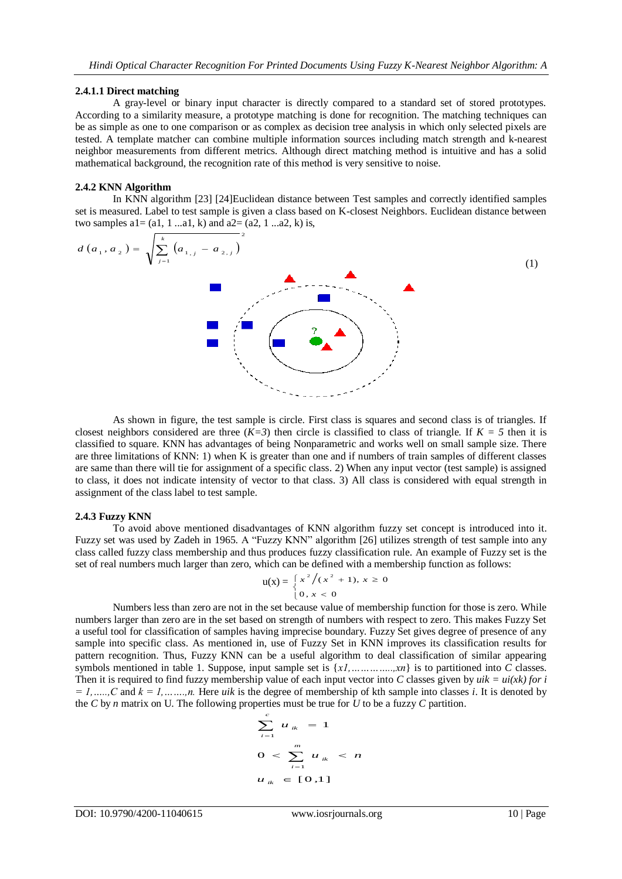#### **2.4.1.1 Direct matching**

A gray-level or binary input character is directly compared to a standard set of stored prototypes. According to a similarity measure, a prototype matching is done for recognition. The matching techniques can be as simple as one to one comparison or as complex as decision tree analysis in which only selected pixels are tested. A template matcher can combine multiple information sources including match strength and k-nearest neighbor measurements from different metrics. Although direct matching method is intuitive and has a solid mathematical background, the recognition rate of this method is very sensitive to noise.

# **2.4.2 KNN Algorithm**

In KNN algorithm [23] [24]Euclidean distance between Test samples and correctly identified samples set is measured. Label to test sample is given a class based on K-closest Neighbors. Euclidean distance between two samples  $a1 = (a1, 1 \dots a1, k)$  and  $a2 = (a2, 1 \dots a2, k)$  is,

$$
d(a_1, a_2) = \sqrt{\sum_{j=1}^{k} (a_{1,j} - a_{2,j})^2}
$$
 (1)

As shown in figure, the test sample is circle. First class is squares and second class is of triangles. If closest neighbors considered are three  $(K=3)$  then circle is classified to class of triangle. If  $K = 5$  then it is classified to square. KNN has advantages of being Nonparametric and works well on small sample size. There are three limitations of KNN: 1) when  $\overline{K}$  is greater than one and if numbers of train samples of different classes are same than there will tie for assignment of a specific class. 2) When any input vector (test sample) is assigned to class, it does not indicate intensity of vector to that class. 3) All class is considered with equal strength in assignment of the class label to test sample.

#### **2.4.3 Fuzzy KNN**

To avoid above mentioned disadvantages of KNN algorithm fuzzy set concept is introduced into it. Fuzzy set was used by Zadeh in 1965. A "Fuzzy KNN" algorithm [26] utilizes strength of test sample into any class called fuzzy class membership and thus produces fuzzy classification rule. An example of Fuzzy set is the set of real numbers much larger than zero, which can be defined with a membership function as follows:

$$
u(x) = \begin{cases} x^2/(x^2 + 1), & x \ge 0 \\ 0, & x < 0 \end{cases}
$$

Numbers less than zero are not in the set because value of membership function for those is zero. While numbers larger than zero are in the set based on strength of numbers with respect to zero. This makes Fuzzy Set a useful tool for classification of samples having imprecise boundary. Fuzzy Set gives degree of presence of any sample into specific class. As mentioned in, use of Fuzzy Set in KNN improves its classification results for pattern recognition. Thus, Fuzzy KNN can be a useful algorithm to deal classification of similar appearing symbols mentioned in table 1. Suppose, input sample set is {*x1,…………..,xn*} is to partitioned into *C* classes. Then it is required to find fuzzy membership value of each input vector into *C* classes given by  $uik = ui(xk)$  for i  $= 1, \ldots, C$  and  $k = 1, \ldots, n$ . Here *uik* is the degree of membership of kth sample into classes *i*. It is denoted by the *C* by *n* matrix on U. The following properties must be true for  $\overline{U}$  to be a fuzzy *C* partition.

$$
\sum_{i=1}^{c} u_{ik} = 1
$$
  
0  $< \sum_{i=1}^{m} u_{ik} < n$   
 $u_{ik} \in [0,1]$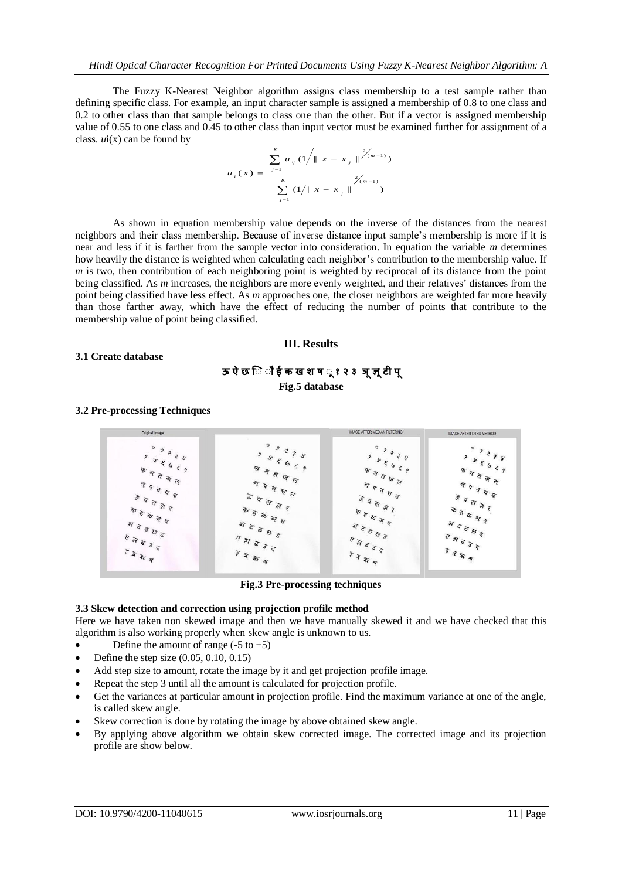The Fuzzy K-Nearest Neighbor algorithm assigns class membership to a test sample rather than defining specific class. For example, an input character sample is assigned a membership of 0.8 to one class and 0.2 to other class than that sample belongs to class one than the other. But if a vector is assigned membership value of 0.55 to one class and 0.45 to other class than input vector must be examined further for assignment of a class.  $ui(x)$  can be found by

$$
u_{i}(x) = \frac{\sum_{j=1}^{K} u_{ij} (1/\|x - x_{j}\|^{2/(m-1)})}{\sum_{j=1}^{K} (1/\|x - x_{j}\|^{2/(m-1)})}
$$

As shown in equation membership value depends on the inverse of the distances from the nearest neighbors and their class membership. Because of inverse distance input sample's membership is more if it is near and less if it is farther from the sample vector into consideration. In equation the variable *m* determines how heavily the distance is weighted when calculating each neighbor's contribution to the membership value. If *m* is two, then contribution of each neighboring point is weighted by reciprocal of its distance from the point being classified. As *m* increases, the neighbors are more evenly weighted, and their relatives' distances from the point being classified have less effect. As *m* approaches one, the closer neighbors are weighted far more heavily than those farther away, which have the effect of reducing the number of points that contribute to the membership value of point being classified.

### **III. Results**

# **3.1 Create database**

# **ऊ ऐ छ िॉ ॉ ई क ख श ष ॉ १ २ ३ ञ ज्ञ टी प Fig.5 database**

# **3.2 Pre-processing Techniques**



**Fig.3 Pre-processing techniques**

# **3.3 Skew detection and correction using projection profile method**

Here we have taken non skewed image and then we have manually skewed it and we have checked that this algorithm is also working properly when skew angle is unknown to us.

- Define the amount of range  $(-5 \text{ to } +5)$
- Define the step size (0.05, 0.10, 0.15)
- Add step size to amount, rotate the image by it and get projection profile image.
- Repeat the step 3 until all the amount is calculated for projection profile.
- Get the variances at particular amount in projection profile. Find the maximum variance at one of the angle, is called skew angle.
- Skew correction is done by rotating the image by above obtained skew angle.
- By applying above algorithm we obtain skew corrected image. The corrected image and its projection profile are show below.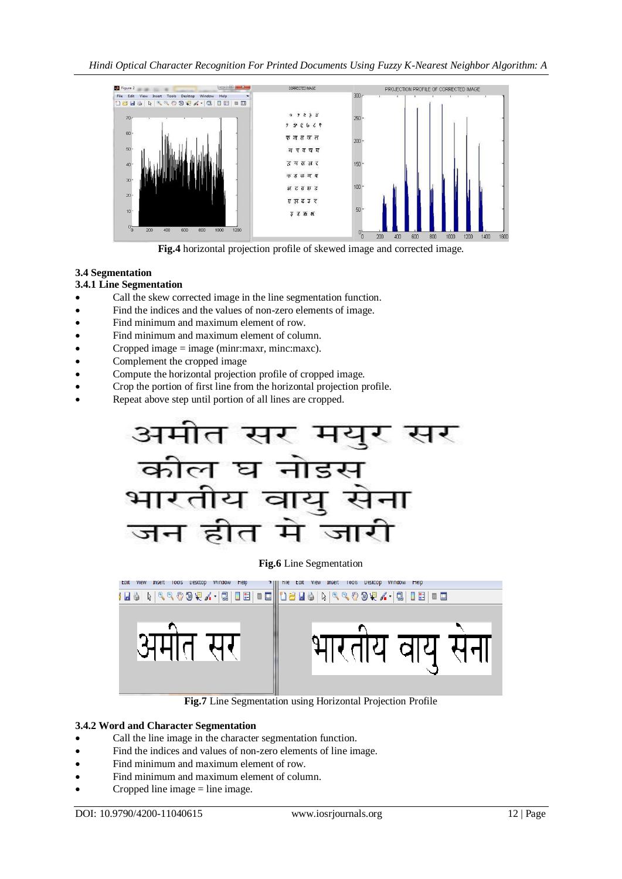

**Fig.4** horizontal projection profile of skewed image and corrected image.

# **3.4 Segmentation**

# **3.4.1 Line Segmentation**

- Call the skew corrected image in the line segmentation function.
- Find the indices and the values of non-zero elements of image.
- Find minimum and maximum element of row.
- Find minimum and maximum element of column.
- Cropped image  $=$  image (minr:maxr, minc:maxc).
- Complement the cropped image
- Compute the horizontal projection profile of cropped image.
- Crop the portion of first line from the horizontal projection profile.
- Repeat above step until portion of all lines are cropped.



# **Fig.6** Line Segmentation



**Fig.7** Line Segmentation using Horizontal Projection Profile

# **3.4.2 Word and Character Segmentation**

- Call the line image in the character segmentation function.
- Find the indices and values of non-zero elements of line image.
- Find minimum and maximum element of row.
- Find minimum and maximum element of column.
- Cropped line image  $=$  line image.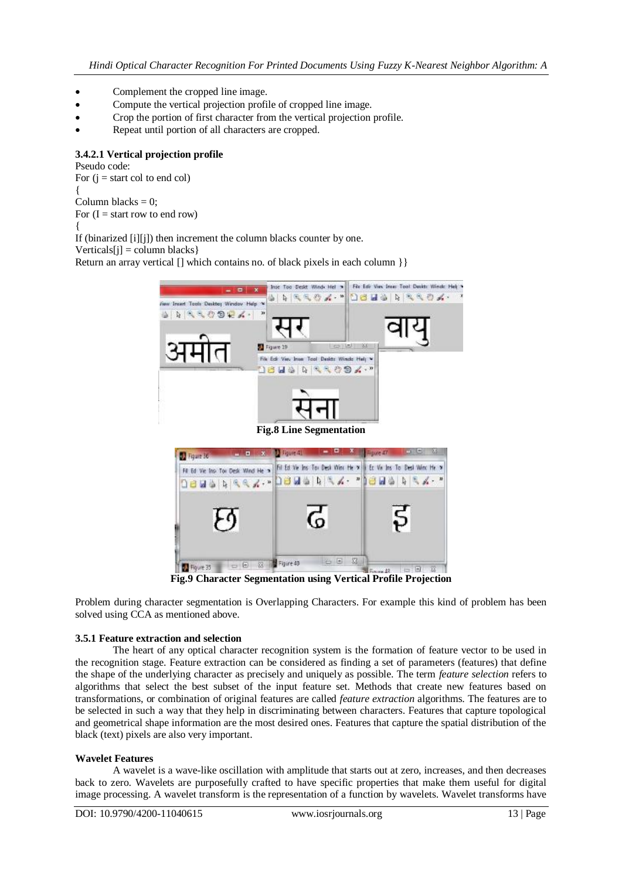- Complement the cropped line image.
- Compute the vertical projection profile of cropped line image.
- Crop the portion of first character from the vertical projection profile.
- Repeat until portion of all characters are cropped.

# **3.4.2.1 Vertical projection profile**

Pseudo code: For  $(i = start col to end col)$ { Column blacks  $= 0$ ; For  $(I = start row to end row)$ { If (binarized [i][j]) then increment the column blacks counter by one.

 $Verticals[i] = column blacks$ 

Return an array vertical [] which contains no. of black pixels in each column  $\}$ 



**Fig.9 Character Segmentation using Vertical Profile Projection**

Problem during character segmentation is Overlapping Characters. For example this kind of problem has been solved using CCA as mentioned above.

# **3.5.1 Feature extraction and selection**

The heart of any optical character recognition system is the formation of feature vector to be used in the recognition stage. Feature extraction can be considered as finding a set of parameters (features) that define the shape of the underlying character as precisely and uniquely as possible. The term *feature selection* refers to algorithms that select the best subset of the input feature set. Methods that create new features based on transformations, or combination of original features are called *feature extraction* algorithms. The features are to be selected in such a way that they help in discriminating between characters. Features that capture topological and geometrical shape information are the most desired ones. Features that capture the spatial distribution of the black (text) pixels are also very important.

# **Wavelet Features**

A wavelet is a wave-like oscillation with amplitude that starts out at zero, increases, and then decreases back to zero. Wavelets are purposefully crafted to have specific properties that make them useful for digital image processing. A wavelet transform is the representation of a function by wavelets. Wavelet transforms have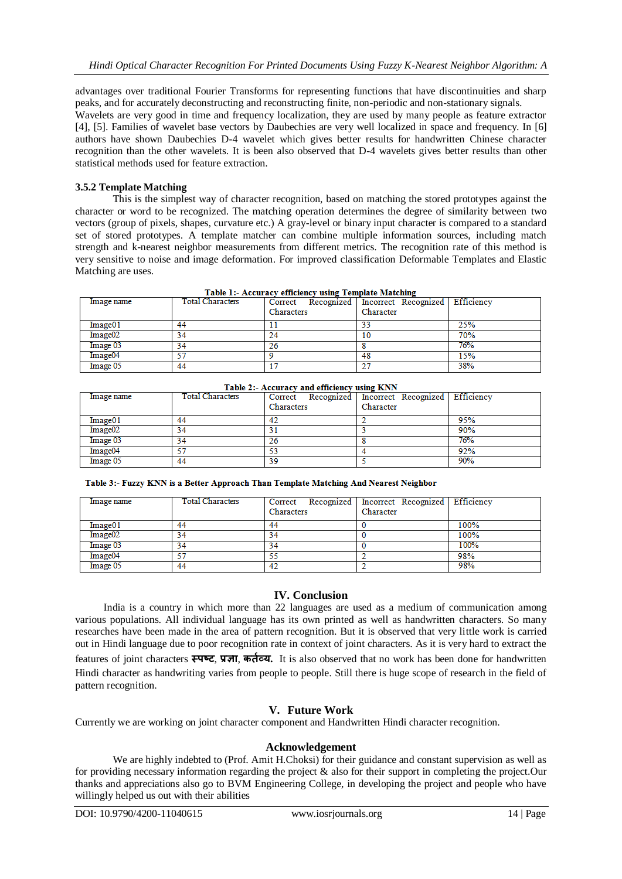advantages over traditional Fourier Transforms for representing functions that have discontinuities and sharp peaks, and for accurately deconstructing and reconstructing finite, non-periodic and non-stationary signals. Wavelets are very good in time and frequency localization, they are used by many people as feature extractor [4], [5]. Families of wavelet base vectors by Daubechies are very well localized in space and frequency. In [6] authors have shown Daubechies D-4 wavelet which gives better results for handwritten Chinese character recognition than the other wavelets. It is been also observed that D-4 wavelets gives better results than other statistical methods used for feature extraction.

# **3.5.2 Template Matching**

This is the simplest way of character recognition, based on matching the stored prototypes against the character or word to be recognized. The matching operation determines the degree of similarity between two vectors (group of pixels, shapes, curvature etc.) A gray-level or binary input character is compared to a standard set of stored prototypes. A template matcher can combine multiple information sources, including match strength and k-nearest neighbor measurements from different metrics. The recognition rate of this method is very sensitive to noise and image deformation. For improved classification Deformable Templates and Elastic Matching are uses.

| Table 1:- Accuracy efficiency using Template Matching |                         |            |                                                        |     |  |  |  |
|-------------------------------------------------------|-------------------------|------------|--------------------------------------------------------|-----|--|--|--|
| Image name                                            | <b>Total Characters</b> |            | Correct Recognized   Incorrect Recognized   Efficiency |     |  |  |  |
|                                                       |                         | Characters | Character                                              |     |  |  |  |
| Image01                                               | 44                      |            | 33                                                     | 25% |  |  |  |
| Image <sub>02</sub>                                   | 34                      | 24         | 10                                                     | 70% |  |  |  |
| Image 03                                              | 34                      | 26         |                                                        | 76% |  |  |  |
| Image04                                               | 57                      |            | 48                                                     | 15% |  |  |  |
| Image 05                                              | 44                      |            | 27                                                     | 38% |  |  |  |

and a control  $\mathbf{1}$ and a strategies and

| Table 2:- Accuracy and efficiency using KNN |                         |            |                                                    |     |  |  |  |
|---------------------------------------------|-------------------------|------------|----------------------------------------------------|-----|--|--|--|
| Image name                                  | <b>Total Characters</b> |            | Correct Recognized Incorrect Recognized Efficiency |     |  |  |  |
|                                             |                         | Characters | Character                                          |     |  |  |  |
| Image01                                     | 44                      |            |                                                    | 95% |  |  |  |
| Image <sub>02</sub>                         | 34                      |            |                                                    | 90% |  |  |  |
| Image 03                                    | 34                      | 26         |                                                    | 76% |  |  |  |
| Image04                                     | 57                      | 53         |                                                    | 92% |  |  |  |
| Image 05                                    | 44                      | 39         |                                                    | 90% |  |  |  |

Table 3:- Fuzzy KNN is a Better Approach Than Template Matching And Nearest Neighbor

| Image name          | <b>Total Characters</b> | Characters | Correct Recognized Incorrect Recognized Efficiency<br>Character |      |
|---------------------|-------------------------|------------|-----------------------------------------------------------------|------|
| Image01             | 44                      | 44         |                                                                 | 100% |
| Image <sub>02</sub> | 34                      | 34         |                                                                 | 100% |
| Image 03            | 34                      | 34         |                                                                 | 100% |
| Image04             | -57                     | 55         |                                                                 | 98%  |
| Image 05            | 44                      | 42         |                                                                 | 98%  |

# **IV. Conclusion**

India is a country in which more than 22 languages are used as a medium of communication among various populations. All individual language has its own printed as well as handwritten characters. So many researches have been made in the area of pattern recognition. But it is observed that very little work is carried out in Hindi language due to poor recognition rate in context of joint characters. As it is very hard to extract the features of joint characters **स्पष्ट**, **प्रज्ञा**, **कर्तव्य.** It is also observed that no work has been done for handwritten Hindi character as handwriting varies from people to people. Still there is huge scope of research in the field of pattern recognition.

# **V. Future Work**

Currently we are working on joint character component and Handwritten Hindi character recognition.

# **Acknowledgement**

We are highly indebted to (Prof. Amit H.Choksi) for their guidance and constant supervision as well as for providing necessary information regarding the project & also for their support in completing the project.Our thanks and appreciations also go to BVM Engineering College, in developing the project and people who have willingly helped us out with their abilities